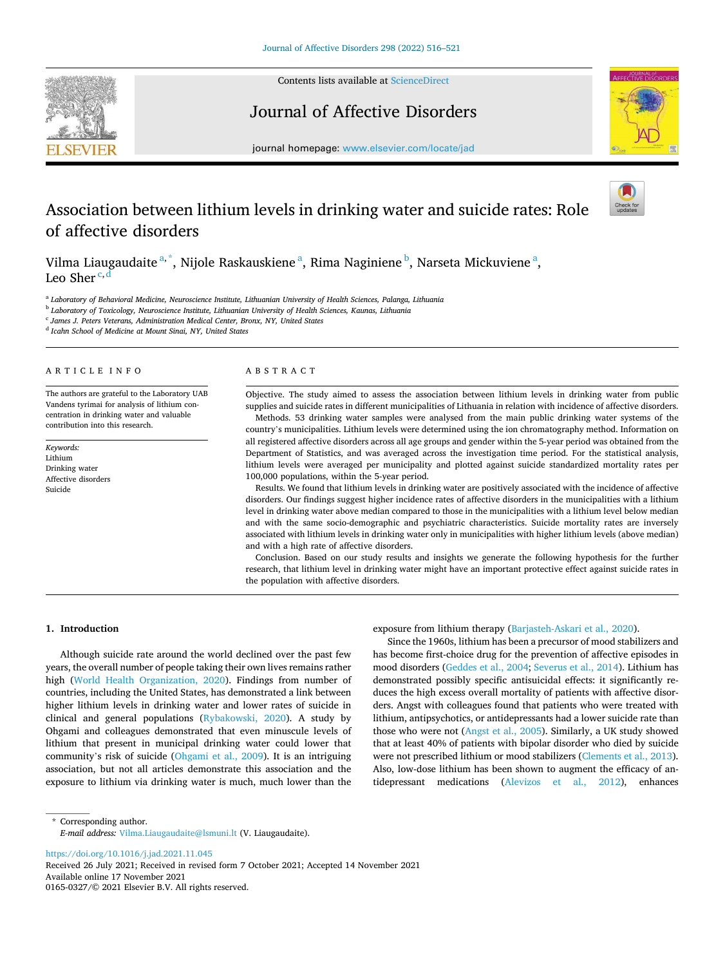

Contents lists available at [ScienceDirect](www.sciencedirect.com/science/journal/01650327)

Journal of Affective Disorders



journal homepage: [www.elsevier.com/locate/jad](https://www.elsevier.com/locate/jad)

# Association between lithium levels in drinking water and suicide rates: Role of affective disorders

Vilma Liaugaudaite $^{\mathrm{a},\mathrm{*}},$  Nijole Raskauskiene $^{\mathrm{a}},$  Rima Naginiene $^{\mathrm{b}}$ , Narseta Mickuviene $^{\mathrm{a}},$ Leo Sher<sup>c,d</sup>

a *Laboratory of Behavioral Medicine, Neuroscience Institute, Lithuanian University of Health Sciences, Palanga, Lithuania* 

b *Laboratory of Toxicology, Neuroscience Institute, Lithuanian University of Health Sciences, Kaunas, Lithuania* 

c *James J. Peters Veterans, Administration Medical Center, Bronx, NY, United States* 

d *Icahn School of Medicine at Mount Sinai, NY, United States* 

## A R T I C L E I N F O

The authors are grateful to the Laboratory UAB Vandens tyrimai for analysis of lithium concentration in drinking water and valuable contribution into this research.

*Keywords:*  Lithium Drinking water Affective disorders Suicide

## ABSTRACT

Objective. The study aimed to assess the association between lithium levels in drinking water from public supplies and suicide rates in different municipalities of Lithuania in relation with incidence of affective disorders.

Methods. 53 drinking water samples were analysed from the main public drinking water systems of the country's municipalities. Lithium levels were determined using the ion chromatography method. Information on all registered affective disorders across all age groups and gender within the 5-year period was obtained from the Department of Statistics, and was averaged across the investigation time period. For the statistical analysis, lithium levels were averaged per municipality and plotted against suicide standardized mortality rates per 100,000 populations, within the 5-year period.

Results. We found that lithium levels in drinking water are positively associated with the incidence of affective disorders. Our findings suggest higher incidence rates of affective disorders in the municipalities with a lithium level in drinking water above median compared to those in the municipalities with a lithium level below median and with the same socio-demographic and psychiatric characteristics. Suicide mortality rates are inversely associated with lithium levels in drinking water only in municipalities with higher lithium levels (above median) and with a high rate of affective disorders.

Conclusion. Based on our study results and insights we generate the following hypothesis for the further research, that lithium level in drinking water might have an important protective effect against suicide rates in the population with affective disorders.

# **1. Introduction**

Although suicide rate around the world declined over the past few years, the overall number of people taking their own lives remains rather high ([World Health Organization, 2020](#page-5-0)). Findings from number of countries, including the United States, has demonstrated a link between higher lithium levels in drinking water and lower rates of suicide in clinical and general populations [\(Rybakowski, 2020\)](#page-5-0). A study by Ohgami and colleagues demonstrated that even minuscule levels of lithium that present in municipal drinking water could lower that community's risk of suicide ([Ohgami et al., 2009](#page-5-0)). It is an intriguing association, but not all articles demonstrate this association and the exposure to lithium via drinking water is much, much lower than the exposure from lithium therapy [\(Barjasteh-Askari et al., 2020\)](#page-5-0).

Since the 1960s, lithium has been a precursor of mood stabilizers and has become first-choice drug for the prevention of affective episodes in mood disorders [\(Geddes et al., 2004](#page-5-0); [Severus et al., 2014](#page-5-0)). Lithium has demonstrated possibly specific antisuicidal effects: it significantly reduces the high excess overall mortality of patients with affective disorders. Angst with colleagues found that patients who were treated with lithium, antipsychotics, or antidepressants had a lower suicide rate than those who were not [\(Angst et al., 2005](#page-5-0)). Similarly, a UK study showed that at least 40% of patients with bipolar disorder who died by suicide were not prescribed lithium or mood stabilizers [\(Clements et al., 2013](#page-5-0)). Also, low-dose lithium has been shown to augment the efficacy of antidepressant medications ([Alevizos et al., 2012\)](#page-5-0), enhances

\* Corresponding author. *E-mail address:* [Vilma.Liaugaudaite@lsmuni.lt](mailto:Vilma.Liaugaudaite@lsmuni.lt) (V. Liaugaudaite).

<https://doi.org/10.1016/j.jad.2021.11.045>

Available online 17 November 2021 0165-0327/© 2021 Elsevier B.V. All rights reserved. Received 26 July 2021; Received in revised form 7 October 2021; Accepted 14 November 2021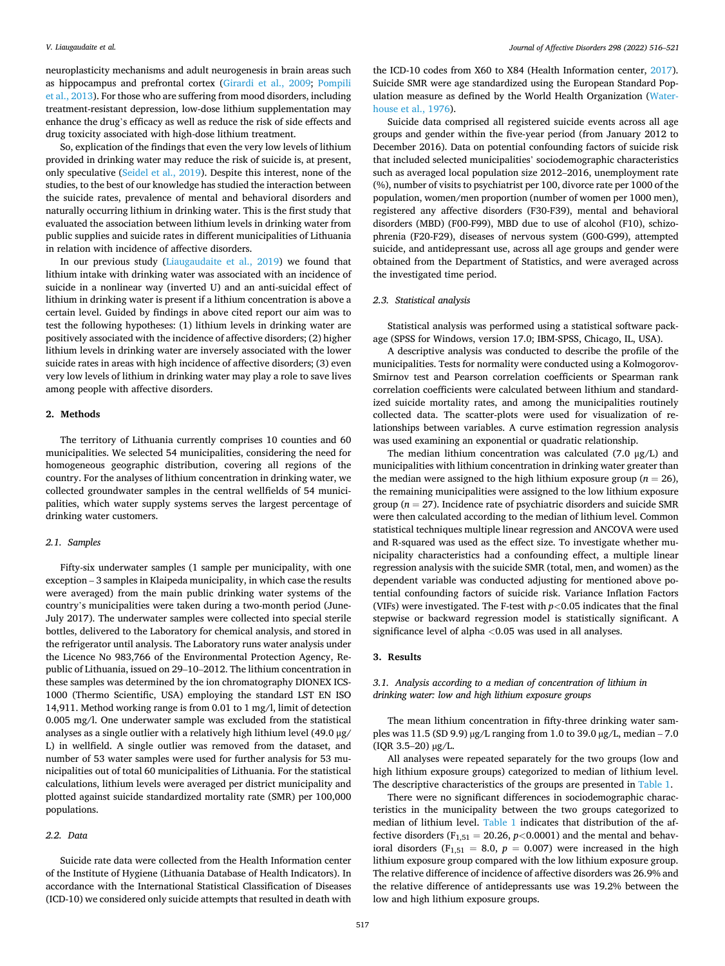neuroplasticity mechanisms and adult neurogenesis in brain areas such as hippocampus and prefrontal cortex ([Girardi et al., 2009](#page-5-0); [Pompili](#page-5-0)  [et al., 2013](#page-5-0)). For those who are suffering from mood disorders, including treatment-resistant depression, low-dose lithium supplementation may enhance the drug's efficacy as well as reduce the risk of side effects and drug toxicity associated with high-dose lithium treatment.

So, explication of the findings that even the very low levels of lithium provided in drinking water may reduce the risk of suicide is, at present, only speculative ([Seidel et al., 2019](#page-5-0)). Despite this interest, none of the studies, to the best of our knowledge has studied the interaction between the suicide rates, prevalence of mental and behavioral disorders and naturally occurring lithium in drinking water. This is the first study that evaluated the association between lithium levels in drinking water from public supplies and suicide rates in different municipalities of Lithuania in relation with incidence of affective disorders.

In our previous study ([Liaugaudaite et al., 2019](#page-5-0)) we found that lithium intake with drinking water was associated with an incidence of suicide in a nonlinear way (inverted U) and an anti-suicidal effect of lithium in drinking water is present if a lithium concentration is above a certain level. Guided by findings in above cited report our aim was to test the following hypotheses: (1) lithium levels in drinking water are positively associated with the incidence of affective disorders; (2) higher lithium levels in drinking water are inversely associated with the lower suicide rates in areas with high incidence of affective disorders; (3) even very low levels of lithium in drinking water may play a role to save lives among people with affective disorders.

#### **2. Methods**

The territory of Lithuania currently comprises 10 counties and 60 municipalities. We selected 54 municipalities, considering the need for homogeneous geographic distribution, covering all regions of the country. For the analyses of lithium concentration in drinking water, we collected groundwater samples in the central wellfields of 54 municipalities, which water supply systems serves the largest percentage of drinking water customers.

## *2.1. Samples*

Fifty-six underwater samples (1 sample per municipality, with one exception – 3 samples in Klaipeda municipality, in which case the results were averaged) from the main public drinking water systems of the country's municipalities were taken during a two-month period (June-July 2017). The underwater samples were collected into special sterile bottles, delivered to the Laboratory for chemical analysis, and stored in the refrigerator until analysis. The Laboratory runs water analysis under the Licence No 983,766 of the Environmental Protection Agency, Republic of Lithuania, issued on 29–10–2012. The lithium concentration in these samples was determined by the ion chromatography DIONEX ICS-1000 (Thermo Scientific, USA) employing the standard LST EN ISO 14,911. Method working range is from 0.01 to 1 mg/l, limit of detection 0.005 mg/l. One underwater sample was excluded from the statistical analyses as a single outlier with a relatively high lithium level (49.0 μg/ L) in wellfield. A single outlier was removed from the dataset, and number of 53 water samples were used for further analysis for 53 municipalities out of total 60 municipalities of Lithuania. For the statistical calculations, lithium levels were averaged per district municipality and plotted against suicide standardized mortality rate (SMR) per 100,000 populations.

## *2.2. Data*

Suicide rate data were collected from the Health Information center of the Institute of Hygiene (Lithuania Database of Health Indicators). In accordance with the International Statistical Classification of Diseases (ICD-10) we considered only suicide attempts that resulted in death with

the ICD-10 codes from X60 to X84 (Health Information center, [2017](#page-5-0)). Suicide SMR were age standardized using the European Standard Population measure as defined by the World Health Organization ([Water](#page-5-0)[house et al., 1976\)](#page-5-0).

Suicide data comprised all registered suicide events across all age groups and gender within the five-year period (from January 2012 to December 2016). Data on potential confounding factors of suicide risk that included selected municipalities' sociodemographic characteristics such as averaged local population size 2012–2016, unemployment rate (%), number of visits to psychiatrist per 100, divorce rate per 1000 of the population, women/men proportion (number of women per 1000 men), registered any affective disorders (F30-F39), mental and behavioral disorders (MBD) (F00-F99), MBD due to use of alcohol (F10), schizophrenia (F20-F29), diseases of nervous system (G00-G99), attempted suicide, and antidepressant use, across all age groups and gender were obtained from the Department of Statistics, and were averaged across the investigated time period.

## *2.3. Statistical analysis*

Statistical analysis was performed using a statistical software package (SPSS for Windows, version 17.0; IBM-SPSS, Chicago, IL, USA).

A descriptive analysis was conducted to describe the profile of the municipalities. Tests for normality were conducted using a Kolmogorov-Smirnov test and Pearson correlation coefficients or Spearman rank correlation coefficients were calculated between lithium and standardized suicide mortality rates, and among the municipalities routinely collected data. The scatter-plots were used for visualization of relationships between variables. A curve estimation regression analysis was used examining an exponential or quadratic relationship.

The median lithium concentration was calculated (7.0  $\mu$ g/L) and municipalities with lithium concentration in drinking water greater than the median were assigned to the high lithium exposure group ( $n = 26$ ), the remaining municipalities were assigned to the low lithium exposure group ( $n = 27$ ). Incidence rate of psychiatric disorders and suicide SMR were then calculated according to the median of lithium level. Common statistical techniques multiple linear regression and ANCOVA were used and R-squared was used as the effect size. To investigate whether municipality characteristics had a confounding effect, a multiple linear regression analysis with the suicide SMR (total, men, and women) as the dependent variable was conducted adjusting for mentioned above potential confounding factors of suicide risk. Variance Inflation Factors (VIFs) were investigated. The F-test with *p<*0.05 indicates that the final stepwise or backward regression model is statistically significant. A significance level of alpha *<*0.05 was used in all analyses.

## **3. Results**

*3.1. Analysis according to a median of concentration of lithium in drinking water: low and high lithium exposure groups* 

The mean lithium concentration in fifty-three drinking water samples was 11.5 (SD 9.9) µg/L ranging from 1.0 to 39.0 µg/L, median – 7.0  $(IQR 3.5-20) \mu g/L$ .

All analyses were repeated separately for the two groups (low and high lithium exposure groups) categorized to median of lithium level. The descriptive characteristics of the groups are presented in [Table 1](#page-2-0).

There were no significant differences in sociodemographic characteristics in the municipality between the two groups categorized to median of lithium level. [Table 1](#page-2-0) indicates that distribution of the affective disorders ( $F_{1,51} = 20.26$ ,  $p < 0.0001$ ) and the mental and behavioral disorders ( $F_{1,51} = 8.0$ ,  $p = 0.007$ ) were increased in the high lithium exposure group compared with the low lithium exposure group. The relative difference of incidence of affective disorders was 26.9% and the relative difference of antidepressants use was 19.2% between the low and high lithium exposure groups.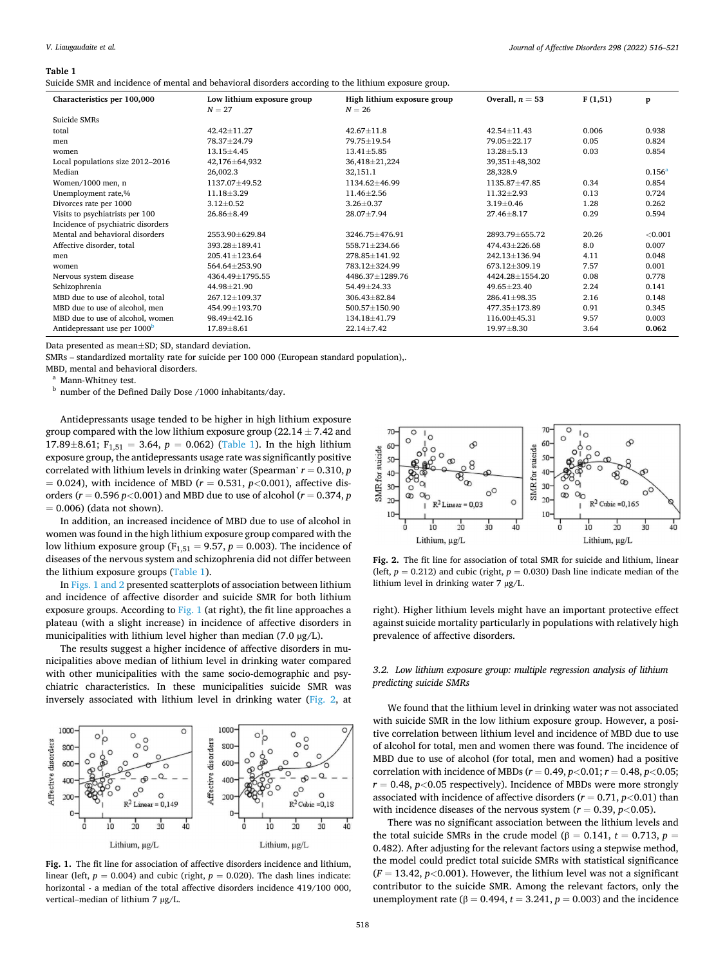#### <span id="page-2-0"></span>**Table 1**

Suicide SMR and incidence of mental and behavioral disorders according to the lithium exposure group.

| Characteristics per 100,000              | Low lithium exposure group<br>$N = 27$ | High lithium exposure group<br>$N = 26$ | Overall, $n = 53$  | F(1,51) | p           |
|------------------------------------------|----------------------------------------|-----------------------------------------|--------------------|---------|-------------|
| Suicide SMRs                             |                                        |                                         |                    |         |             |
| total                                    | $42.42 + 11.27$                        | $42.67 \pm 11.8$                        | $42.54 + 11.43$    | 0.006   | 0.938       |
| men                                      | 78.37+24.79                            | 79.75±19.54                             | 79.05+22.17        | 0.05    | 0.824       |
| women                                    | $13.15 \pm 4.45$                       | $13.41 \pm 5.85$                        | $13.28 \pm 5.13$   | 0.03    | 0.854       |
| Local populations size 2012-2016         | 42,176±64,932                          | 36,418±21,224                           | 39,351±48,302      |         |             |
| Median                                   | 26,002.3                               | 32,151.1                                | 28,328.9           |         | $0.156^{a}$ |
| Women/1000 men, $n$                      | 1137.07±49.52                          | 1134.62±46.99                           | $1135.87 + 47.85$  | 0.34    | 0.854       |
| Unemployment rate,%                      | $11.18 \pm 3.29$                       | $11.46 \pm 2.56$                        | $11.32 + 2.93$     | 0.13    | 0.724       |
| Divorces rate per 1000                   | $3.12 \pm 0.52$                        | $3.26 + 0.37$                           | $3.19 \pm 0.46$    | 1.28    | 0.262       |
| Visits to psychiatrists per 100          | $26.86 \pm 8.49$                       | 28.07±7.94                              | 27.46±8.17         | 0.29    | 0.594       |
| Incidence of psychiatric disorders       |                                        |                                         |                    |         |             |
| Mental and behavioral disorders          | 2553.90±629.84                         | 3246.75±476.91                          | 2893.79±655.72     | 20.26   | < 0.001     |
| Affective disorder, total                | 393.28±189.41                          | 558.71±234.66                           | 474.43±226.68      | 8.0     | 0.007       |
| men                                      | $205.41 \pm 123.64$                    | 278.85±141.92                           | 242.13±136.94      | 4.11    | 0.048       |
| women                                    | 564.64±253.90                          | 783.12±324.99                           | 673.12±309.19      | 7.57    | 0.001       |
| Nervous system disease                   | 4364.49±1795.55                        | 4486.37+1289.76                         | 4424.28+1554.20    | 0.08    | 0.778       |
| Schizophrenia                            | 44.98±21.90                            | 54.49±24.33                             | $49.65 + 23.40$    | 2.24    | 0.141       |
| MBD due to use of alcohol, total         | 267.12±109.37                          | 306.43±82.84                            | $286.41 \pm 98.35$ | 2.16    | 0.148       |
| MBD due to use of alcohol, men           | 454.99±193.70                          | 500.57±150.90                           | 477.35±173.89      | 0.91    | 0.345       |
| MBD due to use of alcohol, women         | 98.49±42.16                            | 134.18±41.79                            | 116.00±45.31       | 9.57    | 0.003       |
| Antidepressant use per 1000 <sup>b</sup> | 17.89 ± 8.61                           | $22.14 \pm 7.42$                        | 19.97±8.30         | 3.64    | 0.062       |

Data presented as mean±SD; SD, standard deviation.

SMRs – standardized mortality rate for suicide per 100 000 (European standard population),.

MBD, mental and behavioral disorders.

Mann-Whitney test.

<sup>b</sup> number of the Defined Daily Dose /1000 inhabitants/day.

Antidepressants usage tended to be higher in high lithium exposure group compared with the low lithium exposure group (22.14  $\pm$  7.42 and 17.89 $\pm$ 8.61; F<sub>1,51</sub> = 3.64,  $p = 0.062$ ) (Table 1). In the high lithium exposure group, the antidepressants usage rate was significantly positive correlated with lithium levels in drinking water (Spearman'  $r = 0.310$ , *p*  $= 0.024$ ), with incidence of MBD ( $r = 0.531$ ,  $p < 0.001$ ), affective disorders ( $r = 0.596 \, p < 0.001$ ) and MBD due to use of alcohol ( $r = 0.374$ ,  $p$  $= 0.006$ ) (data not shown).

In addition, an increased incidence of MBD due to use of alcohol in women was found in the high lithium exposure group compared with the low lithium exposure group ( $F_{1,51} = 9.57$ ,  $p = 0.003$ ). The incidence of diseases of the nervous system and schizophrenia did not differ between the lithium exposure groups (Table 1).

In Figs. 1 and 2 presented scatterplots of association between lithium and incidence of affective disorder and suicide SMR for both lithium exposure groups. According to Fig. 1 (at right), the fit line approaches a plateau (with a slight increase) in incidence of affective disorders in municipalities with lithium level higher than median (7.0  $\mu$ g/L).

The results suggest a higher incidence of affective disorders in municipalities above median of lithium level in drinking water compared with other municipalities with the same socio-demographic and psychiatric characteristics. In these municipalities suicide SMR was inversely associated with lithium level in drinking water (Fig. 2, at



**Fig. 1.** The fit line for association of affective disorders incidence and lithium, linear (left,  $p = 0.004$ ) and cubic (right,  $p = 0.020$ ). The dash lines indicate: horizontal - a median of the total affective disorders incidence 419/100 000, vertical–median of lithium 7 µg/L.



**Fig. 2.** The fit line for association of total SMR for suicide and lithium, linear (left,  $p = 0.212$ ) and cubic (right,  $p = 0.030$ ) Dash line indicate median of the lithium level in drinking water 7 µg/L.

right). Higher lithium levels might have an important protective effect against suicide mortality particularly in populations with relatively high prevalence of affective disorders.

## *3.2. Low lithium exposure group: multiple regression analysis of lithium predicting suicide SMRs*

We found that the lithium level in drinking water was not associated with suicide SMR in the low lithium exposure group. However, a positive correlation between lithium level and incidence of MBD due to use of alcohol for total, men and women there was found. The incidence of MBD due to use of alcohol (for total, men and women) had a positive correlation with incidence of MBDs (*r* = 0.49, *p<*0.01; *r* = 0.48, *p<*0.05; *r* = 0.48, *p<*0.05 respectively). Incidence of MBDs were more strongly associated with incidence of affective disorders (*r* = 0.71, *p<*0.01) than with incidence diseases of the nervous system  $(r = 0.39, p < 0.05)$ .

There was no significant association between the lithium levels and the total suicide SMRs in the crude model ( $β = 0.141$ ,  $t = 0.713$ ,  $p =$ 0.482). After adjusting for the relevant factors using a stepwise method, the model could predict total suicide SMRs with statistical significance  $(F = 13.42, p < 0.001)$ . However, the lithium level was not a significant contributor to the suicide SMR. Among the relevant factors, only the unemployment rate ( $β = 0.494$ ,  $t = 3.241$ ,  $p = 0.003$ ) and the incidence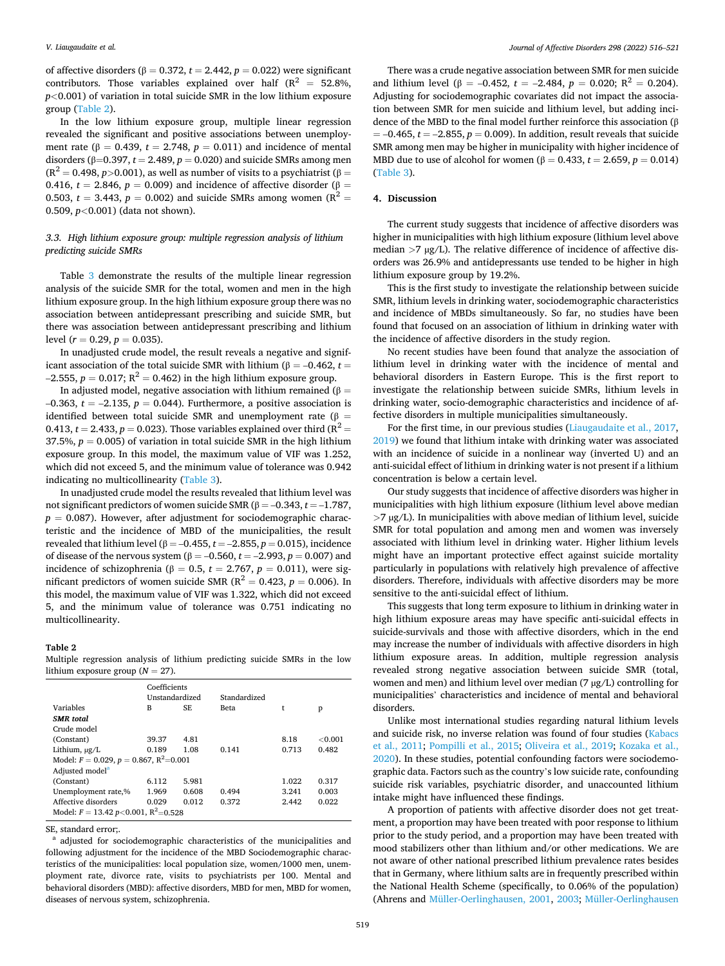of affective disorders ( $\beta = 0.372$ ,  $t = 2.442$ ,  $p = 0.022$ ) were significant contributors. Those variables explained over half  $(R^2 = 52.8\%$ , *p<*0.001) of variation in total suicide SMR in the low lithium exposure group (Table 2).

In the low lithium exposure group, multiple linear regression revealed the significant and positive associations between unemployment rate (β = 0.439, *t* = 2.748, *p* = 0.011) and incidence of mental disorders ( $\beta$ =0.397, *t* = 2.489, *p* = 0.020) and suicide SMRs among men  $(R^2 = 0.498, p > 0.001)$ , as well as number of visits to a psychiatrist ( $\beta =$ 0.416,  $t = 2.846$ ,  $p = 0.009$ ) and incidence of affective disorder ( $\beta =$ 0.503,  $t = 3.443$ ,  $p = 0.002$ ) and suicide SMRs among women ( $R^2 =$ 0.509, *p<*0.001) (data not shown).

## *3.3. High lithium exposure group: multiple regression analysis of lithium predicting suicide SMRs*

Table [3](#page-4-0) demonstrate the results of the multiple linear regression analysis of the suicide SMR for the total, women and men in the high lithium exposure group. In the high lithium exposure group there was no association between antidepressant prescribing and suicide SMR, but there was association between antidepressant prescribing and lithium level ( $r = 0.29$ ,  $p = 0.035$ ).

In unadjusted crude model, the result reveals a negative and significant association of the total suicide SMR with lithium ( $β = -0.462$ , *t* = –2.555,  $p = 0.017$ ;  $R^2 = 0.462$ ) in the high lithium exposure group.

In adjusted model, negative association with lithium remained ( $\beta =$ –0.363,  $t = -2.135$ ,  $p = 0.044$ ). Furthermore, a positive association is identified between total suicide SMR and unemployment rate ( $β =$ 0.413,  $t = 2.433$ ,  $p = 0.023$ ). Those variables explained over third ( $R^2 =$ 37.5%,  $p = 0.005$ ) of variation in total suicide SMR in the high lithium exposure group. In this model, the maximum value of VIF was 1.252, which did not exceed 5, and the minimum value of tolerance was 0.942 indicating no multicollinearity [\(Table 3](#page-4-0)).

In unadjusted crude model the results revealed that lithium level was not significant predictors of women suicide SMR ( $β = -0.343, t = -1.787$ ,  $p = 0.087$ ). However, after adjustment for sociodemographic characteristic and the incidence of MBD of the municipalities, the result revealed that lithium level ( $β = -0.455, t = -2.855, p = 0.015$ ), incidence of disease of the nervous system ( $β = -0.560$ ,  $t = -2.993$ ,  $p = 0.007$ ) and incidence of schizophrenia (β = 0.5, *t* = 2.767, *p* = 0.011), were significant predictors of women suicide SMR ( $R^2 = 0.423$ ,  $p = 0.006$ ). In this model, the maximum value of VIF was 1.322, which did not exceed 5, and the minimum value of tolerance was 0.751 indicating no multicollinearity.

#### **Table 2**

Multiple regression analysis of lithium predicting suicide SMRs in the low lithium exposure group  $(N = 27)$ .

|                                                  | Coefficients<br>Unstandardized |       | Standardized |       |         |  |  |
|--------------------------------------------------|--------------------------------|-------|--------------|-------|---------|--|--|
| Variables                                        | B                              | SE.   | Beta         | t     | р       |  |  |
| <b>SMR</b> total                                 |                                |       |              |       |         |  |  |
| Crude model                                      |                                |       |              |       |         |  |  |
| (Constant)                                       | 39.37                          | 4.81  |              | 8.18  | < 0.001 |  |  |
| Lithium, $\mu$ g/L                               | 0.189                          | 1.08  | 0.141        | 0.713 | 0.482   |  |  |
| Model: $F = 0.029$ , $p = 0.867$ , $R^2 = 0.001$ |                                |       |              |       |         |  |  |
| Adjusted model <sup>a</sup>                      |                                |       |              |       |         |  |  |
| (Constant)                                       | 6.112                          | 5.981 |              | 1.022 | 0.317   |  |  |
| Unemployment rate,%                              | 1.969                          | 0.608 | 0.494        | 3.241 | 0.003   |  |  |
| Affective disorders                              | 0.029                          | 0.012 | 0.372        | 2.442 | 0.022   |  |  |
| Model: $F = 13.42 p < 0.001$ , $R^2 = 0.528$     |                                |       |              |       |         |  |  |

SE, standard error;.

a adjusted for sociodemographic characteristics of the municipalities and following adjustment for the incidence of the MBD Sociodemographic characteristics of the municipalities: local population size, women/1000 men, unemployment rate, divorce rate, visits to psychiatrists per 100. Mental and behavioral disorders (MBD): affective disorders, MBD for men, MBD for women, diseases of nervous system, schizophrenia.

There was a crude negative association between SMR for men suicide and lithium level ( $\beta$  = -0.452,  $t = -2.484$ ,  $p = 0.020$ ;  $R^2 = 0.204$ ). Adjusting for sociodemographic covariates did not impact the association between SMR for men suicide and lithium level, but adding incidence of the MBD to the final model further reinforce this association (β  $= -0.465$ ,  $t = -2.855$ ,  $p = 0.009$ ). In addition, result reveals that suicide SMR among men may be higher in municipality with higher incidence of MBD due to use of alcohol for women (β = 0.433, *t* = 2.659, *p* = 0.014) ([Table 3](#page-4-0)).

## **4. Discussion**

The current study suggests that incidence of affective disorders was higher in municipalities with high lithium exposure (lithium level above median  $>7 \mu$ g/L). The relative difference of incidence of affective disorders was 26.9% and antidepressants use tended to be higher in high lithium exposure group by 19.2%.

This is the first study to investigate the relationship between suicide SMR, lithium levels in drinking water, sociodemographic characteristics and incidence of MBDs simultaneously. So far, no studies have been found that focused on an association of lithium in drinking water with the incidence of affective disorders in the study region.

No recent studies have been found that analyze the association of lithium level in drinking water with the incidence of mental and behavioral disorders in Eastern Europe. This is the first report to investigate the relationship between suicide SMRs, lithium levels in drinking water, socio-demographic characteristics and incidence of affective disorders in multiple municipalities simultaneously.

For the first time, in our previous studies ([Liaugaudaite et al., 2017](#page-5-0), [2019\)](#page-5-0) we found that lithium intake with drinking water was associated with an incidence of suicide in a nonlinear way (inverted U) and an anti-suicidal effect of lithium in drinking water is not present if a lithium concentration is below a certain level.

Our study suggests that incidence of affective disorders was higher in municipalities with high lithium exposure (lithium level above median *>*7 µg/L). In municipalities with above median of lithium level, suicide SMR for total population and among men and women was inversely associated with lithium level in drinking water. Higher lithium levels might have an important protective effect against suicide mortality particularly in populations with relatively high prevalence of affective disorders. Therefore, individuals with affective disorders may be more sensitive to the anti-suicidal effect of lithium.

This suggests that long term exposure to lithium in drinking water in high lithium exposure areas may have specific anti-suicidal effects in suicide-survivals and those with affective disorders, which in the end may increase the number of individuals with affective disorders in high lithium exposure areas. In addition, multiple regression analysis revealed strong negative association between suicide SMR (total, women and men) and lithium level over median (7 µg/L) controlling for municipalities' characteristics and incidence of mental and behavioral disorders.

Unlike most international studies regarding natural lithium levels and suicide risk, no inverse relation was found of four studies [\(Kabacs](#page-5-0)  [et al., 2011;](#page-5-0) [Pompilli et al., 2015;](#page-5-0) [Oliveira et al., 2019;](#page-5-0) [Kozaka et al.,](#page-5-0)  [2020\)](#page-5-0). In these studies, potential confounding factors were sociodemographic data. Factors such as the country's low suicide rate, confounding suicide risk variables, psychiatric disorder, and unaccounted lithium intake might have influenced these findings.

A proportion of patients with affective disorder does not get treatment, a proportion may have been treated with poor response to lithium prior to the study period, and a proportion may have been treated with mood stabilizers other than lithium and/or other medications. We are not aware of other national prescribed lithium prevalence rates besides that in Germany, where lithium salts are in frequently prescribed within the National Health Scheme (specifically, to 0.06% of the population) (Ahrens and [Müller-Oerlinghausen, 2001,](#page-5-0) [2003;](#page-5-0) [Müller-Oerlinghausen](#page-5-0)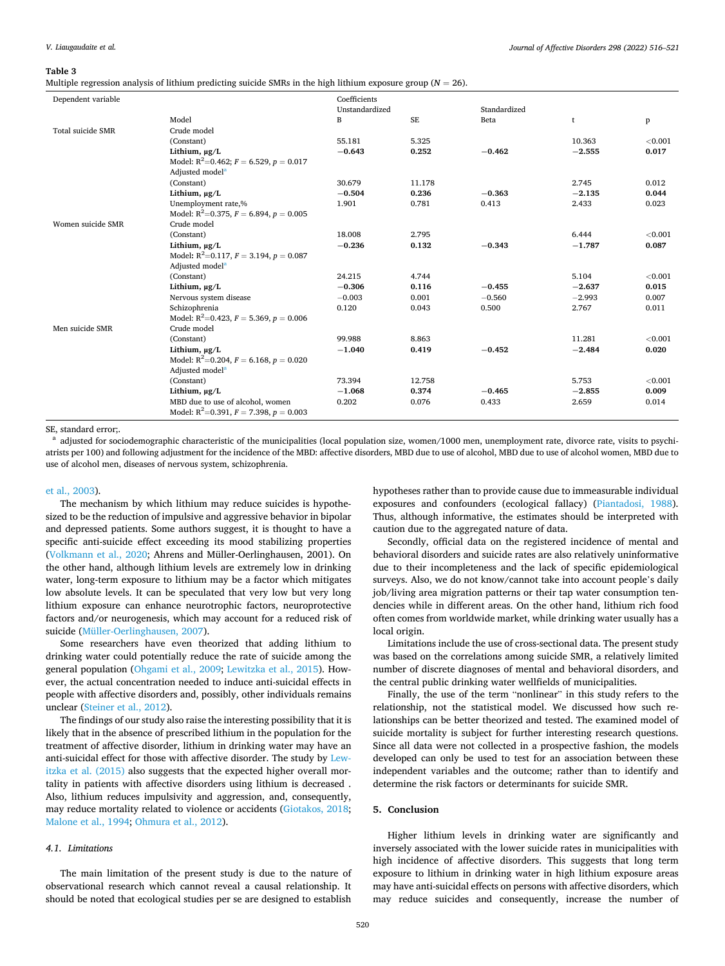#### <span id="page-4-0"></span>**Table 3**

Multiple regression analysis of lithium predicting suicide SMRs in the high lithium exposure group ( $N = 26$ ).

| Dependent variable |                                                  | Coefficients   |           |              |          |            |
|--------------------|--------------------------------------------------|----------------|-----------|--------------|----------|------------|
|                    |                                                  | Unstandardized |           | Standardized |          |            |
|                    | Model                                            | B              | <b>SE</b> | Beta         | t        | p          |
| Total suicide SMR  | Crude model                                      |                |           |              |          |            |
|                    | (Constant)                                       | 55.181         | 5.325     |              | 10.363   | < 0.001    |
|                    | Lithium, µg/L                                    | $-0.643$       | 0.252     | $-0.462$     | $-2.555$ | 0.017      |
|                    | Model: $R^2$ =0.462; $F = 6.529$ , $p = 0.017$   |                |           |              |          |            |
|                    | Adjusted model <sup>a</sup>                      |                |           |              |          |            |
|                    | (Constant)                                       | 30.679         | 11.178    |              | 2.745    | 0.012      |
|                    | Lithium, µg/L                                    | $-0.504$       | 0.236     | $-0.363$     | $-2.135$ | 0.044      |
|                    | Unemployment rate,%                              | 1.901          | 0.781     | 0.413        | 2.433    | 0.023      |
|                    | Model: $R^2=0.375$ , $F = 6.894$ , $p = 0.005$   |                |           |              |          |            |
| Women suicide SMR  | Crude model                                      |                |           |              |          |            |
|                    | (Constant)                                       | 18.008         | 2.795     |              | 6.444    | ${<}0.001$ |
|                    | Lithium, µg/L                                    | $-0.236$       | 0.132     | $-0.343$     | $-1.787$ | 0.087      |
|                    | Model: $R^2$ =0.117, $F = 3.194$ , $p = 0.087$   |                |           |              |          |            |
|                    | Adjusted model <sup>a</sup>                      |                |           |              |          |            |
|                    | (Constant)                                       | 24.215         | 4.744     |              | 5.104    | < 0.001    |
|                    | Lithium, µg/L                                    | $-0.306$       | 0.116     | $-0.455$     | $-2.637$ | 0.015      |
|                    | Nervous system disease                           | $-0.003$       | 0.001     | $-0.560$     | $-2.993$ | 0.007      |
|                    | Schizophrenia                                    | 0.120          | 0.043     | 0.500        | 2.767    | 0.011      |
|                    | Model: $R^2$ =0.423, $F = 5.369$ , $p = 0.006$   |                |           |              |          |            |
| Men suicide SMR    | Crude model                                      |                |           |              |          |            |
|                    | (Constant)                                       | 99.988         | 8.863     |              | 11.281   | < 0.001    |
|                    | Lithium, µg/L                                    | $-1.040$       | 0.419     | $-0.452$     | $-2.484$ | 0.020      |
|                    | Model: $R^2 = 0.204$ , $F = 6.168$ , $p = 0.020$ |                |           |              |          |            |
|                    | Adjusted model <sup>a</sup>                      |                |           |              |          |            |
|                    | (Constant)                                       | 73.394         | 12.758    |              | 5.753    | < 0.001    |
|                    | Lithium, µg/L                                    | $-1.068$       | 0.374     | $-0.465$     | $-2.855$ | 0.009      |
|                    | MBD due to use of alcohol, women                 | 0.202          | 0.076     | 0.433        | 2.659    | 0.014      |
|                    | Model: $R^2$ =0.391, $F = 7.398$ , $p = 0.003$   |                |           |              |          |            |

SE, standard error;.

<sup>a</sup> adjusted for sociodemographic characteristic of the municipalities (local population size, women/1000 men, unemployment rate, divorce rate, visits to psychiatrists per 100) and following adjustment for the incidence of the MBD: affective disorders, MBD due to use of alcohol, MBD due to use of alcohol women, MBD due to use of alcohol men, diseases of nervous system, schizophrenia.

#### [et al., 2003\)](#page-5-0).

The mechanism by which lithium may reduce suicides is hypothesized to be the reduction of impulsive and aggressive behavior in bipolar and depressed patients. Some authors suggest, it is thought to have a specific anti-suicide effect exceeding its mood stabilizing properties ([Volkmann et al., 2020](#page-5-0); Ahrens and Müller-Oerlinghausen, 2001). On the other hand, although lithium levels are extremely low in drinking water, long-term exposure to lithium may be a factor which mitigates low absolute levels. It can be speculated that very low but very long lithium exposure can enhance neurotrophic factors, neuroprotective factors and/or neurogenesis, which may account for a reduced risk of suicide ([Müller-Oerlinghausen, 2007](#page-5-0)).

Some researchers have even theorized that adding lithium to drinking water could potentially reduce the rate of suicide among the general population [\(Ohgami et al., 2009;](#page-5-0) [Lewitzka et al., 2015\)](#page-5-0). However, the actual concentration needed to induce anti-suicidal effects in people with affective disorders and, possibly, other individuals remains unclear [\(Steiner et al., 2012\)](#page-5-0).

The findings of our study also raise the interesting possibility that it is likely that in the absence of prescribed lithium in the population for the treatment of affective disorder, lithium in drinking water may have an anti-suicidal effect for those with affective disorder. The study by [Lew](#page-5-0)[itzka et al. \(2015\)](#page-5-0) also suggests that the expected higher overall mortality in patients with affective disorders using lithium is decreased . Also, lithium reduces impulsivity and aggression, and, consequently, may reduce mortality related to violence or accidents ([Giotakos, 2018](#page-5-0); [Malone et al., 1994](#page-5-0); [Ohmura et al., 2012](#page-5-0)).

# *4.1. Limitations*

The main limitation of the present study is due to the nature of observational research which cannot reveal a causal relationship. It should be noted that ecological studies per se are designed to establish

hypotheses rather than to provide cause due to immeasurable individual exposures and confounders (ecological fallacy) [\(Piantadosi, 1988](#page-5-0)). Thus, although informative, the estimates should be interpreted with caution due to the aggregated nature of data.

Secondly, official data on the registered incidence of mental and behavioral disorders and suicide rates are also relatively uninformative due to their incompleteness and the lack of specific epidemiological surveys. Also, we do not know/cannot take into account people's daily job/living area migration patterns or their tap water consumption tendencies while in different areas. On the other hand, lithium rich food often comes from worldwide market, while drinking water usually has a local origin.

Limitations include the use of cross-sectional data. The present study was based on the correlations among suicide SMR, a relatively limited number of discrete diagnoses of mental and behavioral disorders, and the central public drinking water wellfields of municipalities.

Finally, the use of the term "nonlinear" in this study refers to the relationship, not the statistical model. We discussed how such relationships can be better theorized and tested. The examined model of suicide mortality is subject for further interesting research questions. Since all data were not collected in a prospective fashion, the models developed can only be used to test for an association between these independent variables and the outcome; rather than to identify and determine the risk factors or determinants for suicide SMR.

## **5. Conclusion**

Higher lithium levels in drinking water are significantly and inversely associated with the lower suicide rates in municipalities with high incidence of affective disorders. This suggests that long term exposure to lithium in drinking water in high lithium exposure areas may have anti-suicidal effects on persons with affective disorders, which may reduce suicides and consequently, increase the number of